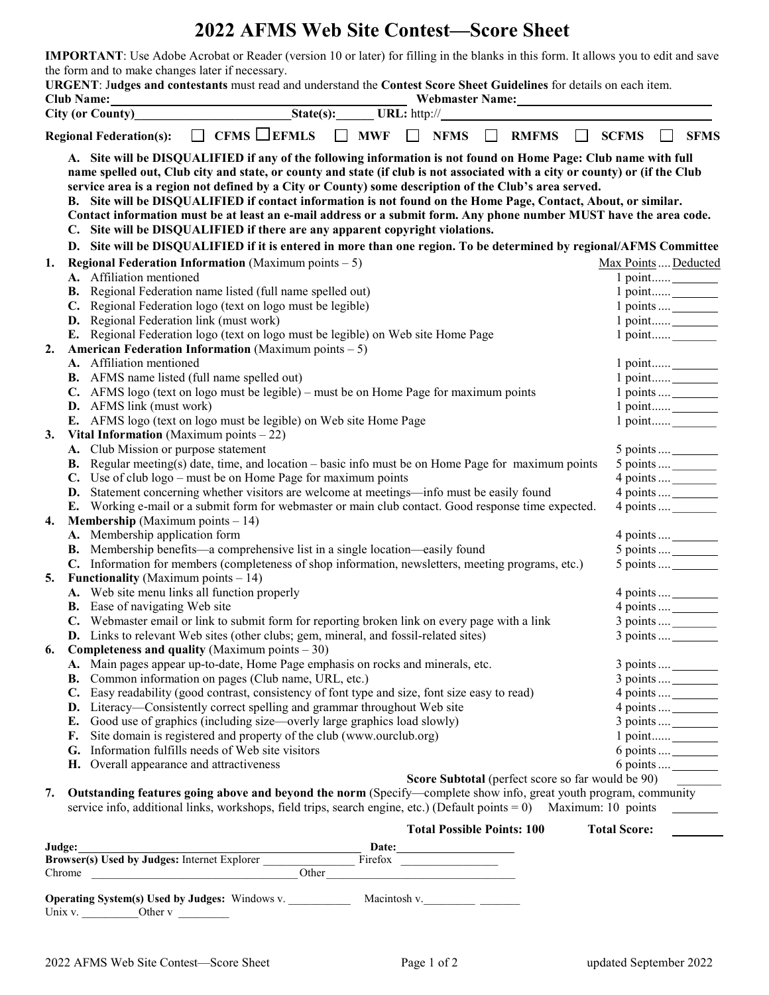|                                                                                                                                                                                                                                                                                                                         |    | <b>2022 AFMS Web Site Contest—Score Sheet</b>                                                                                                                                                                                                                                                                                                                                                                                                                                                                                                                                                                                                                                 |                      |  |  |  |  |  |  |  |
|-------------------------------------------------------------------------------------------------------------------------------------------------------------------------------------------------------------------------------------------------------------------------------------------------------------------------|----|-------------------------------------------------------------------------------------------------------------------------------------------------------------------------------------------------------------------------------------------------------------------------------------------------------------------------------------------------------------------------------------------------------------------------------------------------------------------------------------------------------------------------------------------------------------------------------------------------------------------------------------------------------------------------------|----------------------|--|--|--|--|--|--|--|
| <b>IMPORTANT</b> : Use Adobe Acrobat or Reader (version 10 or later) for filling in the blanks in this form. It allows you to edit and save<br>the form and to make changes later if necessary.<br>URGENT: Judges and contestants must read and understand the Contest Score Sheet Guidelines for details on each item. |    |                                                                                                                                                                                                                                                                                                                                                                                                                                                                                                                                                                                                                                                                               |                      |  |  |  |  |  |  |  |
| Club Name:<br>City (or County)<br>City (or County)<br>City (or County)<br>Webmaster Name: Names                                                                                                                                                                                                                         |    |                                                                                                                                                                                                                                                                                                                                                                                                                                                                                                                                                                                                                                                                               |                      |  |  |  |  |  |  |  |
|                                                                                                                                                                                                                                                                                                                         |    |                                                                                                                                                                                                                                                                                                                                                                                                                                                                                                                                                                                                                                                                               |                      |  |  |  |  |  |  |  |
| Regional Federation(s): $\Box$ CFMS $\Box$ EFMLS $\Box$ MWF $\Box$ NFMS $\Box$ RMFMS<br><b>SFMS</b><br><b>SCFMS</b><br>$\perp$                                                                                                                                                                                          |    |                                                                                                                                                                                                                                                                                                                                                                                                                                                                                                                                                                                                                                                                               |                      |  |  |  |  |  |  |  |
|                                                                                                                                                                                                                                                                                                                         |    | A. Site will be DISQUALIFIED if any of the following information is not found on Home Page: Club name with full<br>name spelled out, Club city and state, or county and state (if club is not associated with a city or county) or (if the Club<br>service area is a region not defined by a City or County) some description of the Club's area served.<br>B. Site will be DISQUALIFIED if contact information is not found on the Home Page, Contact, About, or similar.<br>Contact information must be at least an e-mail address or a submit form. Any phone number MUST have the area code.<br>Site will be DISQUALIFIED if there are any apparent copyright violations. |                      |  |  |  |  |  |  |  |
| 1.                                                                                                                                                                                                                                                                                                                      |    | D. Site will be DISQUALIFIED if it is entered in more than one region. To be determined by regional/AFMS Committee<br><b>Regional Federation Information</b> (Maximum points $-5$ )                                                                                                                                                                                                                                                                                                                                                                                                                                                                                           | Max Points  Deducted |  |  |  |  |  |  |  |
|                                                                                                                                                                                                                                                                                                                         |    | A. Affiliation mentioned                                                                                                                                                                                                                                                                                                                                                                                                                                                                                                                                                                                                                                                      |                      |  |  |  |  |  |  |  |
|                                                                                                                                                                                                                                                                                                                         | В. | Regional Federation name listed (full name spelled out)                                                                                                                                                                                                                                                                                                                                                                                                                                                                                                                                                                                                                       |                      |  |  |  |  |  |  |  |
|                                                                                                                                                                                                                                                                                                                         |    | Regional Federation logo (text on logo must be legible)                                                                                                                                                                                                                                                                                                                                                                                                                                                                                                                                                                                                                       | 1 points  _________  |  |  |  |  |  |  |  |
|                                                                                                                                                                                                                                                                                                                         | D. | Regional Federation link (must work)                                                                                                                                                                                                                                                                                                                                                                                                                                                                                                                                                                                                                                          | 1 point __________   |  |  |  |  |  |  |  |
|                                                                                                                                                                                                                                                                                                                         |    | E. Regional Federation logo (text on logo must be legible) on Web site Home Page                                                                                                                                                                                                                                                                                                                                                                                                                                                                                                                                                                                              |                      |  |  |  |  |  |  |  |
| 2.                                                                                                                                                                                                                                                                                                                      |    | <b>American Federation Information</b> (Maximum points $-5$ )                                                                                                                                                                                                                                                                                                                                                                                                                                                                                                                                                                                                                 |                      |  |  |  |  |  |  |  |
|                                                                                                                                                                                                                                                                                                                         |    | A. Affiliation mentioned                                                                                                                                                                                                                                                                                                                                                                                                                                                                                                                                                                                                                                                      |                      |  |  |  |  |  |  |  |
|                                                                                                                                                                                                                                                                                                                         |    | <b>B.</b> AFMS name listed (full name spelled out)                                                                                                                                                                                                                                                                                                                                                                                                                                                                                                                                                                                                                            |                      |  |  |  |  |  |  |  |
|                                                                                                                                                                                                                                                                                                                         |    | AFMS logo (text on logo must be legible) – must be on Home Page for maximum points                                                                                                                                                                                                                                                                                                                                                                                                                                                                                                                                                                                            | $1$ points $\_\_$    |  |  |  |  |  |  |  |
|                                                                                                                                                                                                                                                                                                                         |    | <b>D.</b> AFMS link (must work)                                                                                                                                                                                                                                                                                                                                                                                                                                                                                                                                                                                                                                               |                      |  |  |  |  |  |  |  |

**E.** AFMS logo (text on logo must be legible) on Web site Home Page 1 point......

| <b>3.</b> Vital Information (Maximum points $-22$ ) |  |
|-----------------------------------------------------|--|
|                                                     |  |

- **A.** Club Mission or purpose statement 5 points.... **B.** Regular meeting(s) date, time, and location – basic info must be on Home Page for maximum points 5 points.... \_\_\_\_\_\_\_ **C.** Use of club logo – must be on Home Page for maximum points.
- **D.** Statement concerning whether visitors are welcome at meetings—info must be easily found 4 points.... 1122 **E.** Working e-mail or a submit form for webmaster or main club contact. Good response time expected. 4 points.... \_\_\_\_\_\_\_\_
- **4. Membership** (Maximum points 14)
	-
	- **A.** Membership application form 4 points.... **B.** Membership benefits—a comprehensive list in a single location—easily found 5 points.... 5 points .... <u>\_\_\_\_\_\_\_\_</u><br> **C.** Information for members (completeness of shop information, newsletters, meeting programs, etc.) 5
	- **C.** Information for members (completeness of shop information, newsletters, meeting programs, etc.)
- **5. Functionality** (Maximum points 14)
	- **A.** Web site menu links all function properly 4 points .... <u>4 points ....</u> 4 points .... <u>4 points ....</u> **B.** Ease of navigating Web site
	- **C.** Webmaster email or link to submit form for reporting broken link on every page with a link 3 points.... \_\_\_\_\_\_\_\_
	- **D.** Links to relevant Web sites (other clubs; gem, mineral, and fossil-related sites) 3 points.... 3 3 3 3 points....
- **6. Completeness and quality** (Maximum points 30)
	- **A.** Main pages appear up-to-date, Home Page emphasis on rocks and minerals, etc. 3 points.... The 3 points of 3 points....
	- **B.** Common information on pages (Club name, URL, etc.)
	- **C.** Easy readability (good contrast, consistency of font type and size, font size easy to read) 4 points....
	- **D.** Literacy—Consistently correct spelling and grammar throughout Web site 4 points....
	- **E.** Good use of graphics (including size—overly large graphics load slowly) 3 points.... 1 and 3 points.... 1 point......
	- **F.** Site domain is registered and property of the club (www.ourclub.org) 1 point...... **G.** Information fulfills needs of Web site visitors.
	- **H.** Overall appearance and attractiveness 6 points .... <u>6 points</u> 6 points .... <u>6 points</u> 6 points .... <u>6 points</u> 6 points .... <u>6 points</u> 6 points .... <u>6 points</u> 6 points .... <u>6 points 6 points 6 points 6 points 6 p</u>
		- **Score Subtotal** (perfect score so far would be 90)
- **7. Outstanding features going above and beyond the norm** (Specify—complete show info, great youth program, community service info, additional links, workshops, field trips, search engine, etc.) (Default points = 0) Maximum: 10 points

|                                                                             |         | <b>Total Possible Points: 100</b> | <b>Total Score:</b> |  |
|-----------------------------------------------------------------------------|---------|-----------------------------------|---------------------|--|
| Judge:                                                                      | Date:   |                                   |                     |  |
| <b>Browser(s) Used by Judges: Internet Explorer</b>                         | Firefox |                                   |                     |  |
| Chrome                                                                      | Other   |                                   |                     |  |
| <b>Operating System(s) Used by Judges:</b> Windows v.<br>Other v<br>Unix v. |         | Macintosh v.                      |                     |  |